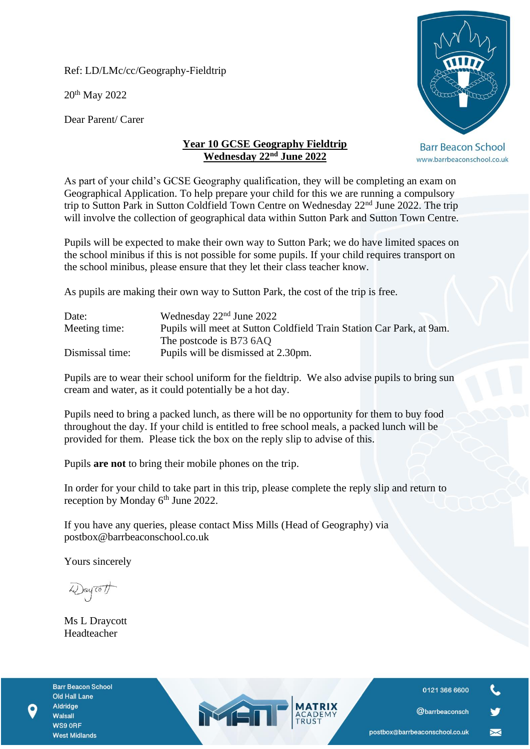Ref: LD/LMc/cc/Geography-Fieldtrip

20th May 2022

Dear Parent/ Carer



**Barr Beacon School** www.barrbeaconschool.co.uk

## **Year 10 GCSE Geography Fieldtrip Wednesday 22nd June 2022**

As part of your child's GCSE Geography qualification, they will be completing an exam on Geographical Application. To help prepare your child for this we are running a compulsory trip to Sutton Park in Sutton Coldfield Town Centre on Wednesday 22nd June 2022. The trip will involve the collection of geographical data within Sutton Park and Sutton Town Centre.

Pupils will be expected to make their own way to Sutton Park; we do have limited spaces on the school minibus if this is not possible for some pupils. If your child requires transport on the school minibus, please ensure that they let their class teacher know.

As pupils are making their own way to Sutton Park, the cost of the trip is free.

| Date:           | Wednesday $22nd$ June 2022                                           |
|-----------------|----------------------------------------------------------------------|
| Meeting time:   | Pupils will meet at Sutton Coldfield Train Station Car Park, at 9am. |
|                 | The postcode is B73 6AQ                                              |
| Dismissal time: | Pupils will be dismissed at 2.30pm.                                  |

Pupils are to wear their school uniform for the fieldtrip. We also advise pupils to bring sun cream and water, as it could potentially be a hot day.

Pupils need to bring a packed lunch, as there will be no opportunity for them to buy food throughout the day. If your child is entitled to free school meals, a packed lunch will be provided for them. Please tick the box on the reply slip to advise of this.

Pupils **are not** to bring their mobile phones on the trip.

In order for your child to take part in this trip, please complete the reply slip and return to reception by Monday 6<sup>th</sup> June 2022.

If you have any queries, please contact Miss Mills (Head of Geography) via postbox@barrbeaconschool.co.uk

MEN

Yours sincerely

Way To 1

Ms L Draycott Headteacher

**Barr Beacon School** Old Hall Lane Aldridge Walsall WS9 ORF **West Midlands** 



 $\blacktriangleright$ 

@barrbeaconsch